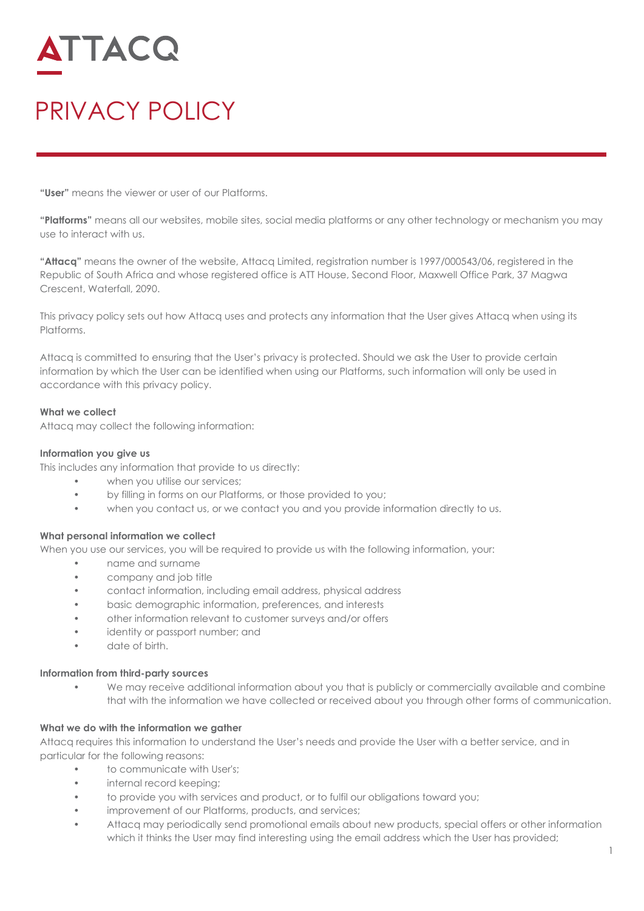# ATTACQ

# PRIVACY POLICY

**"User"** means the viewer or user of our Platforms.

**"Platforms"** means all our websites, mobile sites, social media platforms or any other technology or mechanism you may use to interact with us.

**"Attacq"** means the owner of the website, Attacq Limited, registration number is 1997/000543/06, registered in the Republic of South Africa and whose registered office is ATT House, Second Floor, Maxwell Office Park, 37 Magwa Crescent, Waterfall, 2090.

This privacy policy sets out how Attacq uses and protects any information that the User gives Attacq when using its Platforms.

Attacq is committed to ensuring that the User's privacy is protected. Should we ask the User to provide certain information by which the User can be identified when using our Platforms, such information will only be used in accordance with this privacy policy.

#### **What we collect**

Attacq may collect the following information:

#### **Information you give us**

This includes any information that provide to us directly:

- when you utilise our services;
- by filling in forms on our Platforms, or those provided to you;
- when you contact us, or we contact you and you provide information directly to us.

#### **What personal information we collect**

When you use our services, you will be required to provide us with the following information, your:

- name and surname
- company and job title
- contact information, including email address, physical address
- basic demographic information, preferences, and interests
- other information relevant to customer surveys and/or offers
- identity or passport number; and
- date of birth.

#### **Information from third-party sources**

We may receive additional information about you that is publicly or commercially available and combine that with the information we have collected or received about you through other forms of communication.

### **What we do with the information we gather**

Attacq requires this information to understand the User's needs and provide the User with a better service, and in particular for the following reasons:

- to communicate with User's;
- internal record keeping;
- to provide you with services and product, or to fulfil our obligations toward you;
- improvement of our Platforms, products, and services;
- Attacq may periodically send promotional emails about new products, special offers or other information which it thinks the User may find interesting using the email address which the User has provided;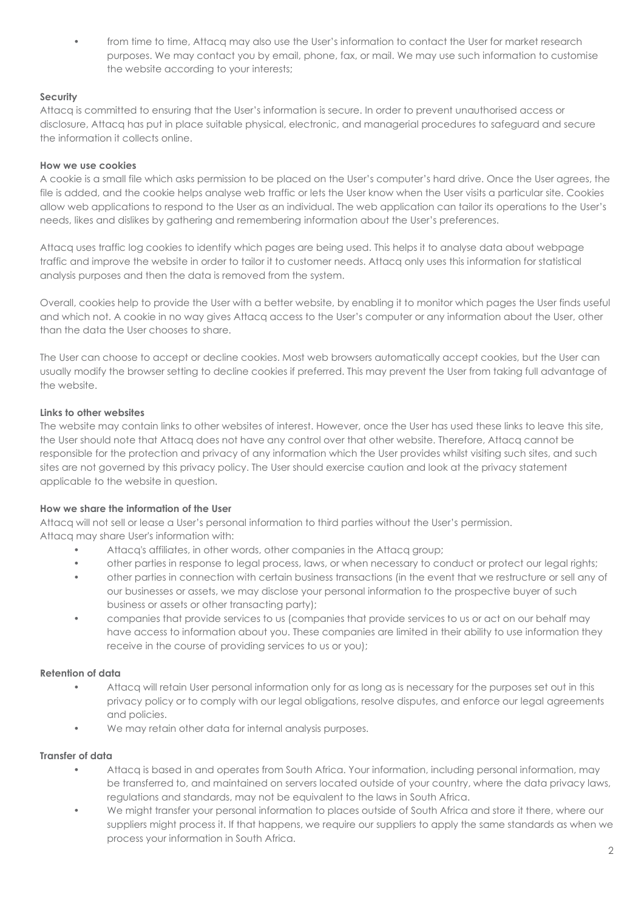from time to time, Attacq may also use the User's information to contact the User for market research purposes. We may contact you by email, phone, fax, or mail. We may use such information to customise the website according to your interests;

# **Security**

Attacq is committed to ensuring that the User's information is secure. In order to prevent unauthorised access or disclosure, Attacq has put in place suitable physical, electronic, and managerial procedures to safeguard and secure the information it collects online.

### **How we use cookies**

A cookie is a small file which asks permission to be placed on the User's computer's hard drive. Once the User agrees, the file is added, and the cookie helps analyse web traffic or lets the User know when the User visits a particular site. Cookies allow web applications to respond to the User as an individual. The web application can tailor its operations to the User's needs, likes and dislikes by gathering and remembering information about the User's preferences.

Attacq uses traffic log cookies to identify which pages are being used. This helps it to analyse data about webpage traffic and improve the website in order to tailor it to customer needs. Attacq only uses this information for statistical analysis purposes and then the data is removed from the system.

Overall, cookies help to provide the User with a better website, by enabling it to monitor which pages the User finds useful and which not. A cookie in no way gives Attacq access to the User's computer or any information about the User, other than the data the User chooses to share.

The User can choose to accept or decline cookies. Most web browsers automatically accept cookies, but the User can usually modify the browser setting to decline cookies if preferred. This may prevent the User from taking full advantage of the website.

# **Links to other websites**

The website may contain links to other websites of interest. However, once the User has used these links to leave this site, the User should note that Attacq does not have any control over that other website. Therefore, Attacq cannot be responsible for the protection and privacy of any information which the User provides whilst visiting such sites, and such sites are not governed by this privacy policy. The User should exercise caution and look at the privacy statement applicable to the website in question.

### **How we share the information of the User**

Attacq will not sell or lease a User's personal information to third parties without the User's permission. Attacq may share User's information with:

- Attacq's affiliates, in other words, other companies in the Attacq group;
- other parties in response to legal process, laws, or when necessary to conduct or protect our legal rights;
- other parties in connection with certain business transactions (in the event that we restructure or sell any of our businesses or assets, we may disclose your personal information to the prospective buyer of such business or assets or other transacting party);
- companies that provide services to us (companies that provide services to us or act on our behalf may have access to information about you. These companies are limited in their ability to use information they receive in the course of providing services to us or you);

### **Retention of data**

- Attacq will retain User personal information only for as long as is necessary for the purposes set out in this privacy policy or to comply with our legal obligations, resolve disputes, and enforce our legal agreements and policies.
- We may retain other data for internal analysis purposes.

### **Transfer of data**

- Attacq is based in and operates from South Africa. Your information, including personal information, may be transferred to, and maintained on servers located outside of your country, where the data privacy laws, regulations and standards, may not be equivalent to the laws in South Africa.
- We might transfer your personal information to places outside of South Africa and store it there, where our suppliers might process it. If that happens, we require our suppliers to apply the same standards as when we process your information in South Africa.